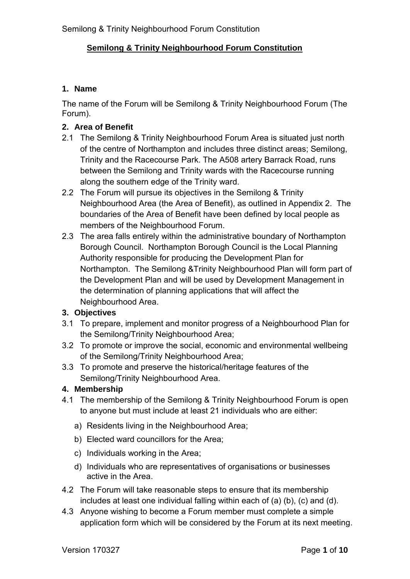#### **1. Name**

The name of the Forum will be Semilong & Trinity Neighbourhood Forum (The Forum).

## **2. Area of Benefit**

- 2.1 The Semilong & Trinity Neighbourhood Forum Area is situated just north of the centre of Northampton and includes three distinct areas; Semilong, Trinity and the Racecourse Park. The A508 artery Barrack Road, runs between the Semilong and Trinity wards with the Racecourse running along the southern edge of the Trinity ward.
- 2.2 The Forum will pursue its objectives in the Semilong & Trinity Neighbourhood Area (the Area of Benefit), as outlined in Appendix 2. The boundaries of the Area of Benefit have been defined by local people as members of the Neighbourhood Forum.
- 2.3 The area falls entirely within the administrative boundary of Northampton Borough Council. Northampton Borough Council is the Local Planning Authority responsible for producing the Development Plan for Northampton. The Semilong &Trinity Neighbourhood Plan will form part of the Development Plan and will be used by Development Management in the determination of planning applications that will affect the Neighbourhood Area.

#### **3. Objectives**

- 3.1 To prepare, implement and monitor progress of a Neighbourhood Plan for the Semilong/Trinity Neighbourhood Area;
- 3.2 To promote or improve the social, economic and environmental wellbeing of the Semilong/Trinity Neighbourhood Area;
- 3.3 To promote and preserve the historical/heritage features of the Semilong/Trinity Neighbourhood Area.

#### **4. Membership**

- 4.1 The membership of the Semilong & Trinity Neighbourhood Forum is open to anyone but must include at least 21 individuals who are either:
	- a) Residents living in the Neighbourhood Area;
	- b) Elected ward councillors for the Area;
	- c) Individuals working in the Area;
	- d) Individuals who are representatives of organisations or businesses active in the Area.
- 4.2 The Forum will take reasonable steps to ensure that its membership includes at least one individual falling within each of (a) (b), (c) and (d).
- 4.3 Anyone wishing to become a Forum member must complete a simple application form which will be considered by the Forum at its next meeting.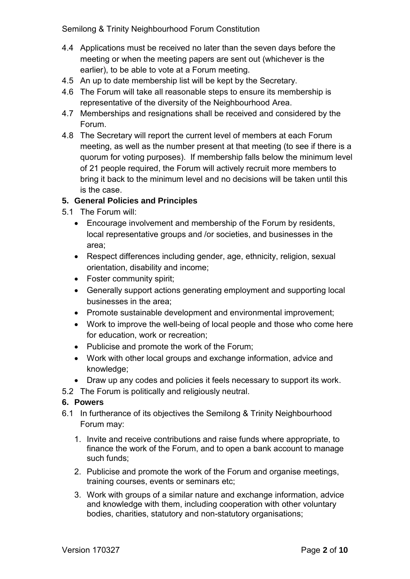- 4.4 Applications must be received no later than the seven days before the meeting or when the meeting papers are sent out (whichever is the earlier), to be able to vote at a Forum meeting.
- 4.5 An up to date membership list will be kept by the Secretary.
- 4.6 The Forum will take all reasonable steps to ensure its membership is representative of the diversity of the Neighbourhood Area.
- 4.7 Memberships and resignations shall be received and considered by the Forum.
- 4.8 The Secretary will report the current level of members at each Forum meeting, as well as the number present at that meeting (to see if there is a quorum for voting purposes). If membership falls below the minimum level of 21 people required, the Forum will actively recruit more members to bring it back to the minimum level and no decisions will be taken until this is the case.

#### **5. General Policies and Principles**

- 5.1 The Forum will:
	- Encourage involvement and membership of the Forum by residents, local representative groups and /or societies, and businesses in the area;
	- Respect differences including gender, age, ethnicity, religion, sexual orientation, disability and income;
	- Foster community spirit;
	- Generally support actions generating employment and supporting local businesses in the area;
	- Promote sustainable development and environmental improvement;
	- Work to improve the well-being of local people and those who come here for education, work or recreation;
	- Publicise and promote the work of the Forum;
	- Work with other local groups and exchange information, advice and knowledge;
	- Draw up any codes and policies it feels necessary to support its work.
- 5.2 The Forum is politically and religiously neutral.

#### **6. Powers**

- 6.1 In furtherance of its objectives the Semilong & Trinity Neighbourhood Forum may:
	- 1. Invite and receive contributions and raise funds where appropriate, to finance the work of the Forum, and to open a bank account to manage such funds;
	- 2. Publicise and promote the work of the Forum and organise meetings, training courses, events or seminars etc;
	- 3. Work with groups of a similar nature and exchange information, advice and knowledge with them, including cooperation with other voluntary bodies, charities, statutory and non-statutory organisations;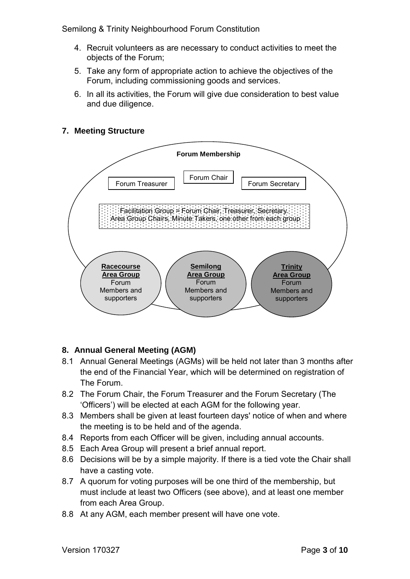- 4. Recruit volunteers as are necessary to conduct activities to meet the objects of the Forum;
- 5. Take any form of appropriate action to achieve the objectives of the Forum, including commissioning goods and services.
- 6. In all its activities, the Forum will give due consideration to best value and due diligence.

## **7. Meeting Structure**



#### **8. Annual General Meeting (AGM)**

- 8.1 Annual General Meetings (AGMs) will be held not later than 3 months after the end of the Financial Year, which will be determined on registration of The Forum.
- 8.2 The Forum Chair, the Forum Treasurer and the Forum Secretary (The 'Officers') will be elected at each AGM for the following year.
- 8.3 Members shall be given at least fourteen days' notice of when and where the meeting is to be held and of the agenda.
- 8.4 Reports from each Officer will be given, including annual accounts.
- 8.5 Each Area Group will present a brief annual report.
- 8.6 Decisions will be by a simple majority. If there is a tied vote the Chair shall have a casting vote.
- 8.7 A quorum for voting purposes will be one third of the membership, but must include at least two Officers (see above), and at least one member from each Area Group.
- 8.8 At any AGM, each member present will have one vote.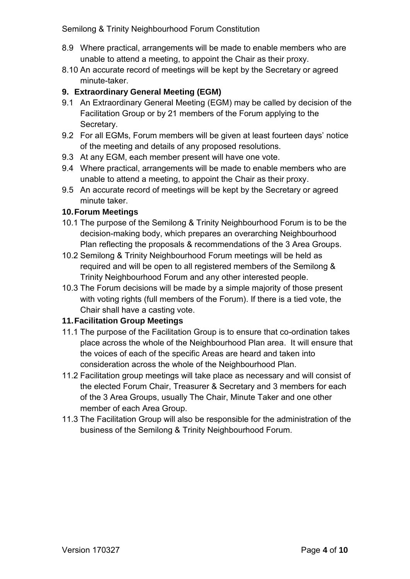- 8.9 Where practical, arrangements will be made to enable members who are unable to attend a meeting, to appoint the Chair as their proxy.
- 8.10 An accurate record of meetings will be kept by the Secretary or agreed minute-taker.

## **9. Extraordinary General Meeting (EGM)**

- 9.1 An Extraordinary General Meeting (EGM) may be called by decision of the Facilitation Group or by 21 members of the Forum applying to the Secretary.
- 9.2 For all EGMs, Forum members will be given at least fourteen days' notice of the meeting and details of any proposed resolutions.
- 9.3 At any EGM, each member present will have one vote.
- 9.4 Where practical, arrangements will be made to enable members who are unable to attend a meeting, to appoint the Chair as their proxy.
- 9.5 An accurate record of meetings will be kept by the Secretary or agreed minute taker.

## **10. Forum Meetings**

- 10.1 The purpose of the Semilong & Trinity Neighbourhood Forum is to be the decision-making body, which prepares an overarching Neighbourhood Plan reflecting the proposals & recommendations of the 3 Area Groups.
- 10.2 Semilong & Trinity Neighbourhood Forum meetings will be held as required and will be open to all registered members of the Semilong & Trinity Neighbourhood Forum and any other interested people.
- 10.3 The Forum decisions will be made by a simple majority of those present with voting rights (full members of the Forum). If there is a tied vote, the Chair shall have a casting vote.

## **11. Facilitation Group Meetings**

- 11.1 The purpose of the Facilitation Group is to ensure that co-ordination takes place across the whole of the Neighbourhood Plan area. It will ensure that the voices of each of the specific Areas are heard and taken into consideration across the whole of the Neighbourhood Plan.
- 11.2 Facilitation group meetings will take place as necessary and will consist of the elected Forum Chair, Treasurer & Secretary and 3 members for each of the 3 Area Groups, usually The Chair, Minute Taker and one other member of each Area Group.
- 11.3 The Facilitation Group will also be responsible for the administration of the business of the Semilong & Trinity Neighbourhood Forum.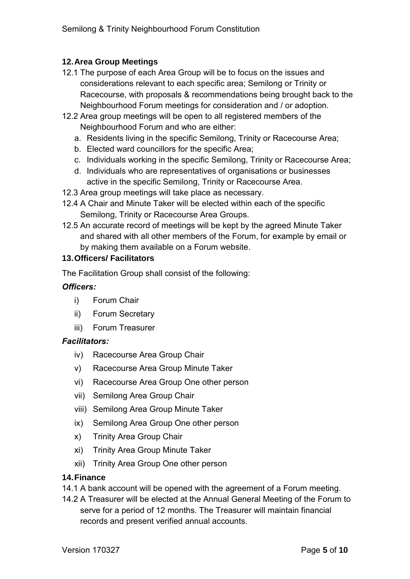## **12. Area Group Meetings**

- 12.1 The purpose of each Area Group will be to focus on the issues and considerations relevant to each specific area; Semilong or Trinity or Racecourse, with proposals & recommendations being brought back to the Neighbourhood Forum meetings for consideration and / or adoption.
- 12.2 Area group meetings will be open to all registered members of the Neighbourhood Forum and who are either:
	- a. Residents living in the specific Semilong, Trinity or Racecourse Area;
	- b. Elected ward councillors for the specific Area;
	- c. Individuals working in the specific Semilong, Trinity or Racecourse Area;
	- d. Individuals who are representatives of organisations or businesses active in the specific Semilong, Trinity or Racecourse Area.
- 12.3 Area group meetings will take place as necessary.
- 12.4 A Chair and Minute Taker will be elected within each of the specific Semilong, Trinity or Racecourse Area Groups.
- 12.5 An accurate record of meetings will be kept by the agreed Minute Taker and shared with all other members of the Forum, for example by email or by making them available on a Forum website.

## **13. Officers/ Facilitators**

The Facilitation Group shall consist of the following:

## *Officers:*

- i) Forum Chair
- ii) Forum Secretary
- iii) Forum Treasurer

#### *Facilitators:*

- iv) Racecourse Area Group Chair
- v) Racecourse Area Group Minute Taker
- vi) Racecourse Area Group One other person
- vii) Semilong Area Group Chair
- viii) Semilong Area Group Minute Taker
- ix) Semilong Area Group One other person
- x) Trinity Area Group Chair
- xi) Trinity Area Group Minute Taker
- xii) Trinity Area Group One other person

#### **14. Finance**

- 14.1 A bank account will be opened with the agreement of a Forum meeting.
- 14.2 A Treasurer will be elected at the Annual General Meeting of the Forum to serve for a period of 12 months. The Treasurer will maintain financial records and present verified annual accounts.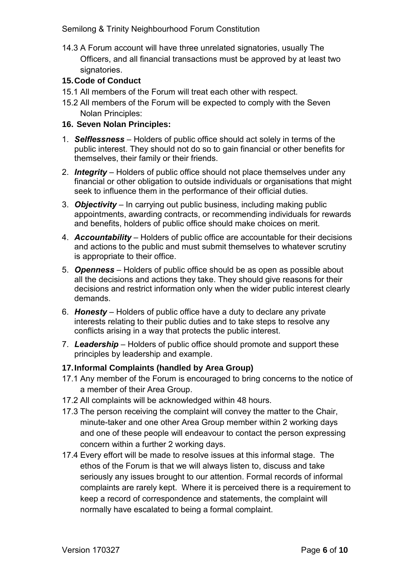14.3 A Forum account will have three unrelated signatories, usually The Officers, and all financial transactions must be approved by at least two signatories.

## **15. Code of Conduct**

- 15.1 All members of the Forum will treat each other with respect.
- 15.2 All members of the Forum will be expected to comply with the Seven Nolan Principles:

## **16. Seven Nolan Principles:**

- 1. *Selflessness* Holders of public office should act solely in terms of the public interest. They should not do so to gain financial or other benefits for themselves, their family or their friends.
- 2. *Integrity* Holders of public office should not place themselves under any financial or other obligation to outside individuals or organisations that might seek to influence them in the performance of their official duties.
- 3. *Objectivity* In carrying out public business, including making public appointments, awarding contracts, or recommending individuals for rewards and benefits, holders of public office should make choices on merit.
- 4. *Accountability* Holders of public office are accountable for their decisions and actions to the public and must submit themselves to whatever scrutiny is appropriate to their office.
- 5. *Openness* Holders of public office should be as open as possible about all the decisions and actions they take. They should give reasons for their decisions and restrict information only when the wider public interest clearly demands.
- 6. *Honesty* Holders of public office have a duty to declare any private interests relating to their public duties and to take steps to resolve any conflicts arising in a way that protects the public interest.
- 7. *Leadership* Holders of public office should promote and support these principles by leadership and example.

## **17. Informal Complaints (handled by Area Group)**

- 17.1 Any member of the Forum is encouraged to bring concerns to the notice of a member of their Area Group.
- 17.2 All complaints will be acknowledged within 48 hours.
- 17.3 The person receiving the complaint will convey the matter to the Chair, minute-taker and one other Area Group member within 2 working days and one of these people will endeavour to contact the person expressing concern within a further 2 working days.
- 17.4 Every effort will be made to resolve issues at this informal stage. The ethos of the Forum is that we will always listen to, discuss and take seriously any issues brought to our attention. Formal records of informal complaints are rarely kept. Where it is perceived there is a requirement to keep a record of correspondence and statements, the complaint will normally have escalated to being a formal complaint.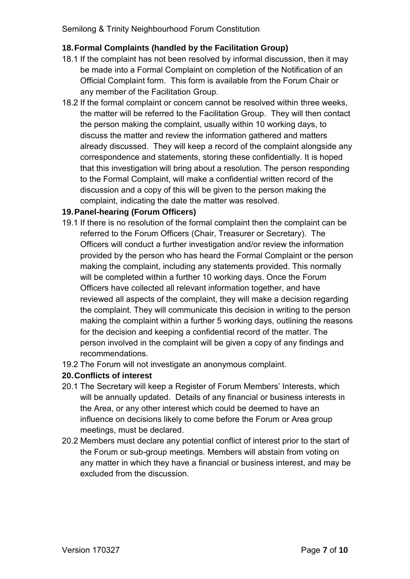## **18. Formal Complaints (handled by the Facilitation Group)**

- 18.1 If the complaint has not been resolved by informal discussion, then it may be made into a Formal Complaint on completion of the Notification of an Official Complaint form. This form is available from the Forum Chair or any member of the Facilitation Group.
- 18.2 If the formal complaint or concern cannot be resolved within three weeks, the matter will be referred to the Facilitation Group. They will then contact the person making the complaint, usually within 10 working days, to discuss the matter and review the information gathered and matters already discussed. They will keep a record of the complaint alongside any correspondence and statements, storing these confidentially. It is hoped that this investigation will bring about a resolution. The person responding to the Formal Complaint, will make a confidential written record of the discussion and a copy of this will be given to the person making the complaint, indicating the date the matter was resolved.

## **19. Panel-hearing (Forum Officers)**

- 19.1 If there is no resolution of the formal complaint then the complaint can be referred to the Forum Officers (Chair, Treasurer or Secretary). The Officers will conduct a further investigation and/or review the information provided by the person who has heard the Formal Complaint or the person making the complaint, including any statements provided. This normally will be completed within a further 10 working days. Once the Forum Officers have collected all relevant information together, and have reviewed all aspects of the complaint, they will make a decision regarding the complaint. They will communicate this decision in writing to the person making the complaint within a further 5 working days, outlining the reasons for the decision and keeping a confidential record of the matter. The person involved in the complaint will be given a copy of any findings and recommendations.
- 19.2 The Forum will not investigate an anonymous complaint.

#### **20. Conflicts of interest**

- 20.1 The Secretary will keep a Register of Forum Members' Interests, which will be annually updated. Details of any financial or business interests in the Area, or any other interest which could be deemed to have an influence on decisions likely to come before the Forum or Area group meetings, must be declared.
- 20.2 Members must declare any potential conflict of interest prior to the start of the Forum or sub-group meetings. Members will abstain from voting on any matter in which they have a financial or business interest, and may be excluded from the discussion.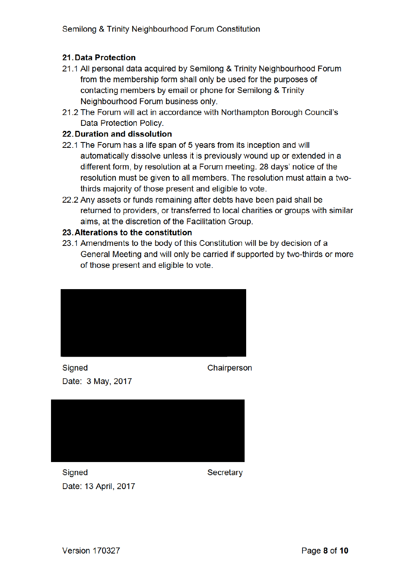### 21. Data Protection

- 21.1 All personal data acquired by Semilong & Trinity Neighbourhood Forum from the membership form shall only be used for the purposes of contacting members by email or phone for Semilong & Trinity Neighbourhood Forum business only.
- 21.2 The Forum will act in accordance with Northampton Borough Council's Data Protection Policy.

#### 22. Duration and dissolution

- 22.1 The Forum has a life span of 5 years from its inception and will automatically dissolve unless it is previously wound up or extended in a different form, by resolution at a Forum meeting. 28 days' notice of the resolution must be given to all members. The resolution must attain a twothirds majority of those present and eligible to vote.
- 22.2 Any assets or funds remaining after debts have been paid shall be returned to providers, or transferred to local charities or groups with similar aims, at the discretion of the Facilitation Group.

#### 23. Alterations to the constitution

23.1 Amendments to the body of this Constitution will be by decision of a General Meeting and will only be carried if supported by two-thirds or more of those present and eligible to vote.



Signed Date: 3 May, 2017 Chairperson



**Signed** Date: 13 April. 2017 Secretary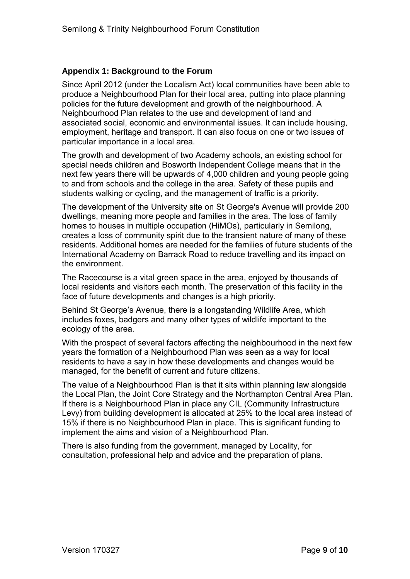#### **Appendix 1: Background to the Forum**

Since April 2012 (under the Localism Act) local communities have been able to produce a Neighbourhood Plan for their local area, putting into place planning policies for the future development and growth of the neighbourhood. A Neighbourhood Plan relates to the use and development of land and associated social, economic and environmental issues. It can include housing, employment, heritage and transport. It can also focus on one or two issues of particular importance in a local area.

The growth and development of two Academy schools, an existing school for special needs children and Bosworth Independent College means that in the next few years there will be upwards of 4,000 children and young people going to and from schools and the college in the area. Safety of these pupils and students walking or cycling, and the management of traffic is a priority.

The development of the University site on St George's Avenue will provide 200 dwellings, meaning more people and families in the area. The loss of family homes to houses in multiple occupation (HiMOs), particularly in Semilong, creates a loss of community spirit due to the transient nature of many of these residents. Additional homes are needed for the families of future students of the International Academy on Barrack Road to reduce travelling and its impact on the environment.

The Racecourse is a vital green space in the area, enjoyed by thousands of local residents and visitors each month. The preservation of this facility in the face of future developments and changes is a high priority.

Behind St George's Avenue, there is a longstanding Wildlife Area, which includes foxes, badgers and many other types of wildlife important to the ecology of the area.

With the prospect of several factors affecting the neighbourhood in the next few years the formation of a Neighbourhood Plan was seen as a way for local residents to have a say in how these developments and changes would be managed, for the benefit of current and future citizens.

The value of a Neighbourhood Plan is that it sits within planning law alongside the Local Plan, the Joint Core Strategy and the Northampton Central Area Plan. If there is a Neighbourhood Plan in place any CIL (Community Infrastructure Levy) from building development is allocated at 25% to the local area instead of 15% if there is no Neighbourhood Plan in place. This is significant funding to implement the aims and vision of a Neighbourhood Plan.

There is also funding from the government, managed by Locality, for consultation, professional help and advice and the preparation of plans.